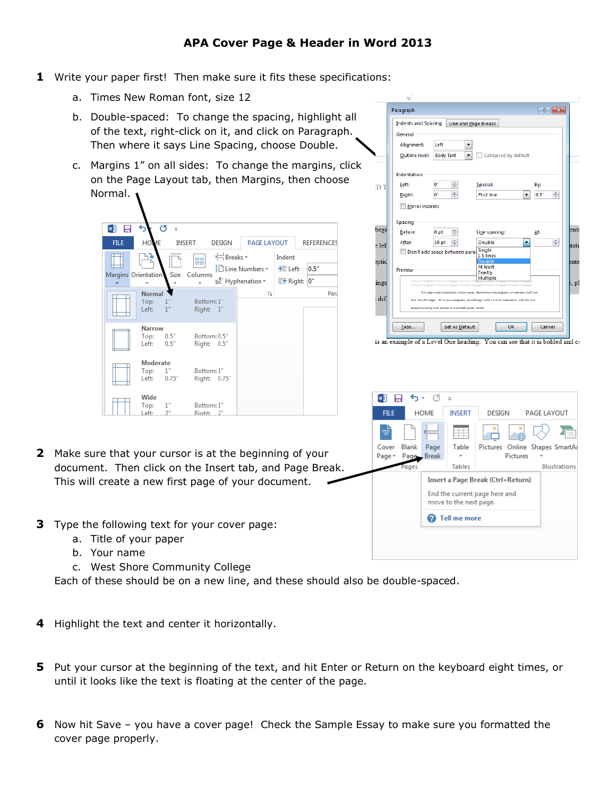- **1** Write your paper first! Then make sure it fits these specifications:
	- a. Times New Roman font, size 12
	- b. Double-spaced: To change the spacing, highlight all of the text, right-click on it, and click on Paragraph. Then where it says Line Spacing, choose Double.
	- c. Margins 1" on all sides: To change the margins, click on the Page Layout tab, then Margins, then choose Normal.

| w∃<br>н             | ь                                | O            |                             |              |                                                                         |                                      |                   |
|---------------------|----------------------------------|--------------|-----------------------------|--------------|-------------------------------------------------------------------------|--------------------------------------|-------------------|
| <b>FILE</b>         | HOME                             |              | <b>INSERT</b>               | DESIGN       | PAGE LAYOUT                                                             |                                      | <b>REFERENCES</b> |
| Margins Orientation | ⊾ء                               | Size         | ≣≣<br>Columns               | ← Breaks -   | ैं:े Line Numbers *<br>$b^{\overline{a}^-}$ Hyphenation $\overline{\ }$ | Indent<br>王 Left:<br>$\equiv$ Right: | 0.5"<br>0"        |
|                     | <b>Normal</b><br>Top:<br>Left:   | 1"<br>1"     | Bottom: 1"<br>Right: 1"     |              | Б.,                                                                     |                                      | Para              |
|                     | <b>Narrow</b><br>Top:<br>Left:   | 0.5"<br>0.5" | Bottom: 0.5"<br>Right: 0.5" |              |                                                                         |                                      |                   |
|                     | <b>Moderate</b><br>Top:<br>Left: | 1"<br>0.75"  | Bottom: 1"                  | Right: 0.75" |                                                                         |                                      |                   |
|                     | Wide<br>Top:<br>Left:            | 1"<br>2"     | Bottom: 1"<br>Right: 2"     |              |                                                                         |                                      |                   |

|       | 履                          |                  |                                                             |                                                                                                            |              |       |
|-------|----------------------------|------------------|-------------------------------------------------------------|------------------------------------------------------------------------------------------------------------|--------------|-------|
|       | Paragraph                  |                  |                                                             |                                                                                                            | ?<br>×       |       |
|       | <b>Indents and Spacing</b> |                  | <b>Line and Page Breaks</b>                                 |                                                                                                            |              |       |
|       | General                    |                  |                                                             |                                                                                                            |              |       |
|       | Alignment:                 | Left             |                                                             |                                                                                                            |              |       |
|       | Outline level:             | <b>Body Text</b> |                                                             | Collapsed by default                                                                                       |              |       |
|       | Indentation                |                  |                                                             |                                                                                                            |              |       |
| D     | Left:                      | o-               | ×.                                                          | Special:                                                                                                   | By:          |       |
|       | Right:                     | $0^{\circ}$      | ÷                                                           | <b>First line</b>                                                                                          | ÷<br>$0.5 -$ |       |
|       | <b>Mirror indents</b>      |                  |                                                             |                                                                                                            |              |       |
|       | Spacing                    |                  |                                                             |                                                                                                            |              |       |
| begi  | Before:                    | 0 <sub>pt</sub>  | ÷                                                           | Line spacing:                                                                                              | At:          | ente  |
| e lef | After:                     | 10 <sub>pt</sub> | ÷                                                           | Double                                                                                                     | ₩            | tati  |
|       |                            |                  | Don't add space between para Single                         | 1.5 lines                                                                                                  |              |       |
| eptid |                            |                  |                                                             | <b>Double</b><br>At least                                                                                  |              | ente  |
|       | Preview                    |                  |                                                             | <b>Exactly</b>                                                                                             |              |       |
| ings  |                            |                  | Previous Paragraph Previous Paragraph Previous Par          | Multiple<br>Previous Paragraph Previous Paragraph Previous Paragraph Previous Paragraph Previous Paragraph |              | ., pl |
|       |                            |                  |                                                             | This begins the introduction of your essay. Notice how the paragraph is indented a half inch               |              |       |
| dif   |                            |                  | exceptions being in an abstract or a blocked quote; neither | from the left margin. All of your paragraphs should begin with a similar indentation, with the only        |              |       |
|       |                            |                  |                                                             |                                                                                                            |              |       |
|       | Tabs                       |                  | <b>Set As Default</b>                                       | OK                                                                                                         | Cancel       |       |
|       |                            |                  |                                                             | is an example of a Level One heading. You can see that it is bolded and co                                 |              |       |

- 日 ち・ぴ  $\Rightarrow$ FILE HOME **INSERT** DESIGN PAGE LAYOUT ≝ Ħ 40 Cover Blank Page Pictures Online Shapes SmartAr Table Page Page -Break Pictures Illustrations age: Tables **Insert a Page Break (Ctrl+Return)** End the current page here and move to the next page. 2 Tell me more
- **2** Make sure that your cursor is at the beginning of your document. Then click on the Insert tab, and Page Break. This will create a new first page of your document.
- **3** Type the following text for your cover page:
	- a. Title of your paper
	- b. Your name
	- c. West Shore Community College

Each of these should be on a new line, and these should also be double-spaced.

- **4** Highlight the text and center it horizontally.
- **5** Put your cursor at the beginning of the text, and hit Enter or Return on the keyboard eight times, or until it looks like the text is floating at the center of the page.
- **6** Now hit Save you have a cover page! Check the Sample Essay to make sure you formatted the cover page properly.